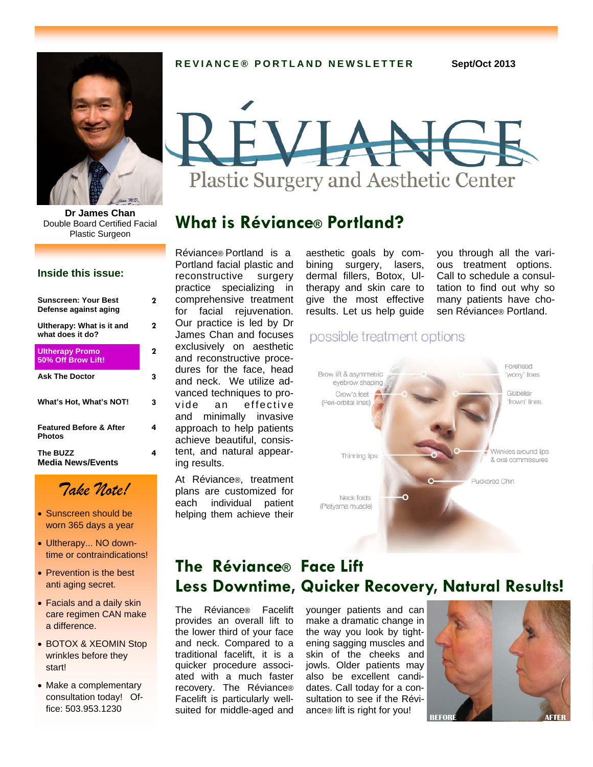

**Dr James Chan**  Double Board Certified Facial Plastic Surgeon

#### **Inside this issue:**

| <b>Sunscreen: Your Best</b><br>Defense against aging | 2 |
|------------------------------------------------------|---|
| Ultherapy: What is it and<br>what does it do?        | 2 |
| <b>Ultherapy Promo</b><br>50% Off Brow Lift!         | 2 |
| <b>Ask The Doctor</b>                                | з |
| What's Hot, What's NOT!                              | 3 |
| <b>Featured Before &amp; After</b><br>Photos         | 4 |
| The BUZZ<br><b>Media News/Events</b>                 | 4 |

# *Take Note!*

- Sunscreen should be worn 365 days a year
- Ultherapy... NO downtime or contraindications!
- Prevention is the best anti aging secret.
- Facials and a daily skin care regimen CAN make a difference.
- BOTOX & XEOMIN Stop wrinkles before they start!
- Make a complementary consultation today! Office: 503.953.1230

**REVIANCE® PORTLAND NEWSLETTER Sept/Oct 2013** 



## **What is Réviance® Portland?**

Réviance® Portland is a Portland facial plastic and reconstructive surgery practice specializing in comprehensive treatment for facial rejuvenation. Our practice is led by Dr James Chan and focuses exclusively on aesthetic and reconstructive procedures for the face, head and neck. We utilize advanced techniques to provide an effective and minimally invasive approach to help patients achieve beautiful, consistent, and natural appearing results.

At Réviance®, treatment plans are customized for each individual patient helping them achieve their

aesthetic goals by combining surgery, lasers, dermal fillers, Botox, Ultherapy and skin care to give the most effective results. Let us help guide you through all the various treatment options. Call to schedule a consultation to find out why so many patients have chosen Réviance® Portland.

## possible treatment options



# **The Réviance® Face Lift Less Downtime, Quicker Recovery, Natural Results!**

The Réviance® Facelift provides an overall lift to the lower third of your face and neck. Compared to a traditional facelift, it is a quicker procedure associated with a much faster recovery. The Réviance® Facelift is particularly wellsuited for middle-aged and

younger patients and can make a dramatic change in the way you look by tightening sagging muscles and skin of the cheeks and jowls. Older patients may also be excellent candidates. Call today for a consultation to see if the Réviance® lift is right for you!

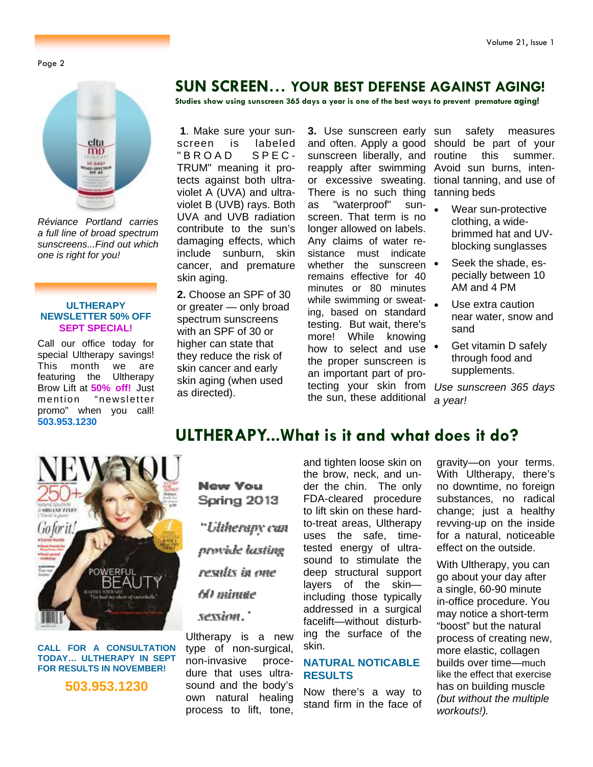Page 2



*Réviance Portland carries a full line of broad spectrum sunscreens...Find out which one is right for you!* 

#### **ULTHERAPY NEWSLETTER 50% OFF SEPT SPECIAL!**

Call our office today for special Ultherapy savings! This month we are featuring the Ultherapy Brow Lift at **50% off!** Just mention "newsletter promo" when you call! **503.953.1230** 

## **SUN SCREEN… YOUR BEST DEFENSE AGAINST AGING!**

**Studies show using sunscreen 365 days a year is one of the best ways to prevent premature aging!** 

**1**. Make sure your sunscreen is labeled<br>"BROAD SPEC- $'BROAD$ TRUM" meaning it protects against both ultraviolet A (UVA) and ultraviolet B (UVB) rays. Both UVA and UVB radiation contribute to the sun's damaging effects, which include sunburn, skin cancer, and premature skin aging.

**2.** Choose an SPF of 30 or greater — only broad spectrum sunscreens with an SPF of 30 or higher can state that they reduce the risk of skin cancer and early skin aging (when used as directed).

**3.** Use sunscreen early sunscreen liberally, and routine reapply after swimming Avoid sun burns, inten-There is no such thing tanning beds as "waterproof" sunscreen. That term is no longer allowed on labels. Any claims of water resistance must indicate whether the sunscreen  $\bullet$ remains effective for 40 minutes or 80 minutes while swimming or sweating, based on standard testing. But wait, there's more! While knowing how to select and use  $\bullet$ the proper sunscreen is an important part of protecting your skin from the sun, these additional

and often. Apply a good should be part of your or excessive sweating. tional tanning, and use of safety measures this summer.

- Wear sun-protective clothing, a widebrimmed hat and UVblocking sunglasses
- Seek the shade, especially between 10 AM and 4 PM
- Use extra caution near water, snow and sand
- Get vitamin D safely through food and supplements.

*Use sunscreen 365 days a year!* 





**CALL FOR A CONSULTATION TODAY… ULTHERAPY IN SEPT FOR RESULTS IN NOVEMBER!** 

**503.953.1230** 

**New You** Spring 2013 "Utherapy can provide lasting results in one

### 60 minute

sexsion."

Ultherapy is a new type of non-surgical, non-invasive procedure that uses ultrasound and the body's own natural healing process to lift, tone,

and tighten loose skin on the brow, neck, and under the chin. The only FDA-cleared procedure to lift skin on these hardto-treat areas, Ultherapy uses the safe, timetested energy of ultrasound to stimulate the deep structural support layers of the skin including those typically addressed in a surgical facelift—without disturbing the surface of the skin.

#### **NATURAL NOTICABLE RESULTS**

Now there's a way to stand firm in the face of gravity—on your terms. With Ultherapy, there's no downtime, no foreign substances, no radical change; just a healthy revving-up on the inside for a natural, noticeable effect on the outside.

With Ultherapy, you can go about your day after a single, 60-90 minute in-office procedure. You may notice a short-term "boost" but the natural process of creating new, more elastic, collagen builds over time—much like the effect that exercise has on building muscle *(but without the multiple workouts!).*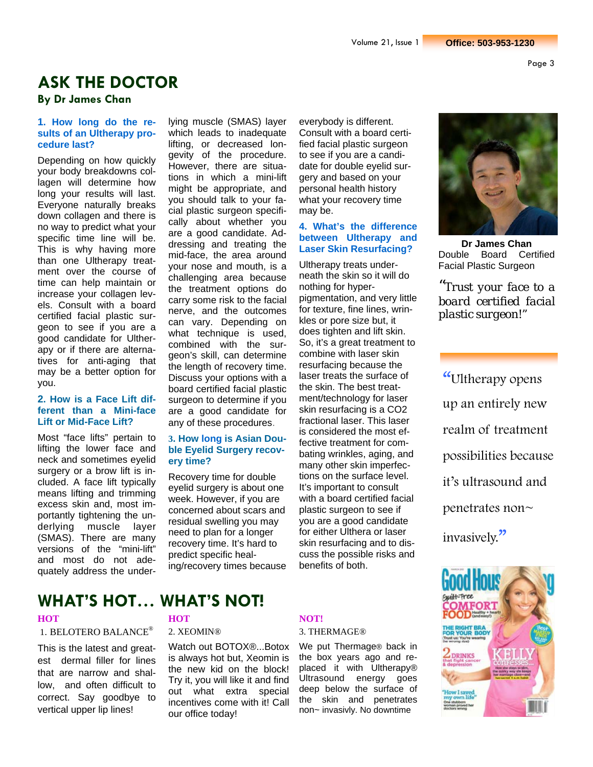# **ASK THE DOCTOR**

### **By Dr James Chan**

#### **1. How long do the results of an Ultherapy procedure last?**

Depending on how quickly your body breakdowns collagen will determine how long your results will last. Everyone naturally breaks down collagen and there is no way to predict what your specific time line will be. This is why having more than one Ultherapy treatment over the course of time can help maintain or increase your collagen levels. Consult with a board certified facial plastic surgeon to see if you are a good candidate for Ultherapy or if there are alternatives for anti-aging that may be a better option for you.

#### **2. How is a Face Lift different than a Mini-face Lift or Mid-Face Lift?**

Most "face lifts" pertain to lifting the lower face and neck and sometimes eyelid surgery or a brow lift is included. A face lift typically means lifting and trimming excess skin and, most importantly tightening the underlying muscle layer (SMAS). There are many versions of the "mini-lift" and most do not adequately address the underlying muscle (SMAS) layer which leads to inadequate lifting, or decreased longevity of the procedure. However, there are situations in which a mini-lift might be appropriate, and you should talk to your facial plastic surgeon specifically about whether you are a good candidate. Addressing and treating the mid-face, the area around your nose and mouth, is a challenging area because the treatment options do carry some risk to the facial nerve, and the outcomes can vary. Depending on what technique is used, combined with the surgeon's skill, can determine the length of recovery time. Discuss your options with a board certified facial plastic surgeon to determine if you are a good candidate for any of these procedures.

#### **3. How long is Asian Double Eyelid Surgery recovery time?**

Recovery time for double eyelid surgery is about one week. However, if you are concerned about scars and residual swelling you may need to plan for a longer recovery time. It's hard to predict specific healing/recovery times because everybody is different. Consult with a board certified facial plastic surgeon to see if you are a candidate for double eyelid surgery and based on your personal health history what your recovery time may be.

#### **4. What's the difference between Ultherapy and Laser Skin Resurfacing?**

Ultherapy treats underneath the skin so it will do nothing for hyperpigmentation, and very little for texture, fine lines, wrinkles or pore size but, it does tighten and lift skin. So, it's a great treatment to combine with laser skin resurfacing because the laser treats the surface of the skin. The best treatment/technology for laser skin resurfacing is a CO2 fractional laser. This laser is considered the most effective treatment for combating wrinkles, aging, and many other skin imperfections on the surface level. It's important to consult with a board certified facial plastic surgeon to see if you are a good candidate for either Ulthera or laser skin resurfacing and to discuss the possible risks and benefits of both.



**Dr James Chan**  Double Board Certified Facial Plastic Surgeon

*"Trust your face to a board certified facial plastic surgeon!"*

"Ultherapy opens up an entirely new realm of treatment possibilities because it's ultrasound and penetrates non~ invasively."



## **WHAT'S HOT… WHAT'S NOT!**

#### 1. BELOTERO BALANCE®

This is the latest and greatest dermal filler for lines that are narrow and shallow, and often difficult to correct. Say goodbye to vertical upper lip lines!

#### 2. XEOMIN®

Watch out BOTOX®...Botox is always hot but, Xeomin is the new kid on the block! Try it, you will like it and find out what extra special incentives come with it! Call our office today!

#### **HOT NOT!**

3. THERMAGE®

We put Thermage® back in the box years ago and replaced it with Ultherapy® Ultrasound energy goes deep below the surface of the skin and penetrates non~ invasivly. No downtime